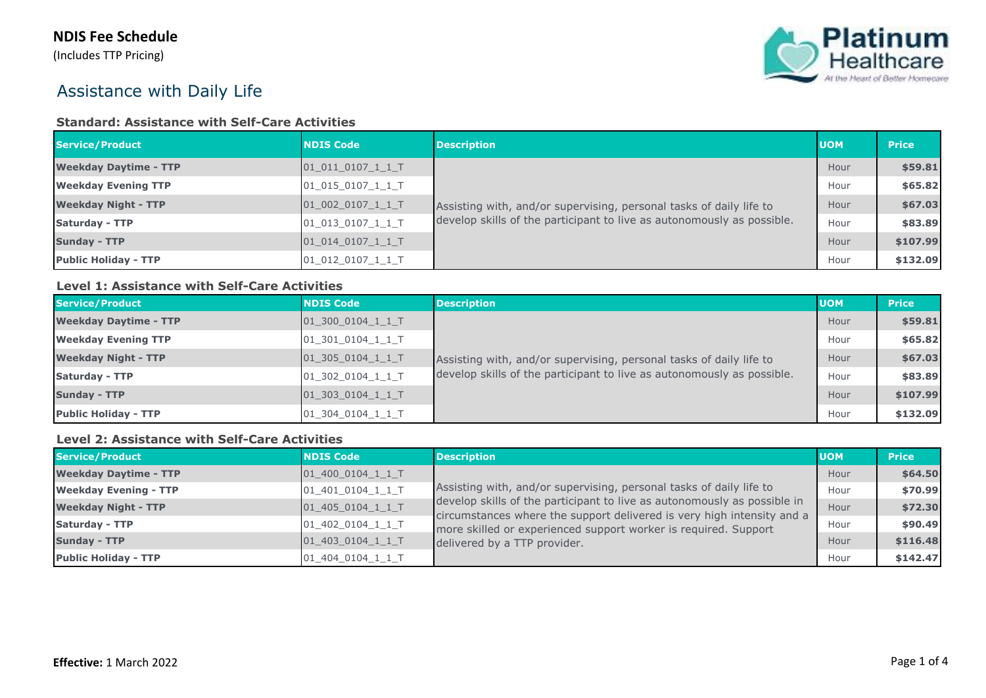(Includes TTP Pricing)



# Assistance with Daily Life

#### **Standard: Assistance with Self-Care Activities**

| Service/Product              | <b>NDIS Code</b>  | <b>Description</b>                                                     | <b>UOM</b> | <b>Price</b> |
|------------------------------|-------------------|------------------------------------------------------------------------|------------|--------------|
| <b>Weekday Daytime - TTP</b> | 01 011 0107 1 1 T |                                                                        | Hour       | \$59.81      |
| <b>Weekday Evening TTP</b>   | 01 015 0107 1 1 T | Assisting with, and/or supervising, personal tasks of daily life to    | Hour       | \$65.82      |
| <b>Weekday Night - TTP</b>   | 01 002 0107 1 1 T |                                                                        | Hour       | \$67.03      |
| <b>Saturday - TTP</b>        | 01_013_0107_1_1_T | develop skills of the participant to live as autonomously as possible. | Hour       | \$83.89      |
| <b>Sunday - TTP</b>          | 01 014 0107 1 1 T |                                                                        | Hour       | \$107.99     |
| <b>Public Holiday - TTP</b>  | 01 012 0107 1 1 T |                                                                        | Hour       | \$132.09     |

### **Level 1: Assistance with Self-Care Activities**

| Service/Product              | <b>NDIS Code</b>   | <b>Description</b>                                                                                                                            | <b>UOM</b> | <b>Price</b> |
|------------------------------|--------------------|-----------------------------------------------------------------------------------------------------------------------------------------------|------------|--------------|
| <b>Weekday Daytime - TTP</b> | 01 300 0104 1 1 T  | Assisting with, and/or supervising, personal tasks of daily life to<br>develop skills of the participant to live as autonomously as possible. | Hour       | \$59.81      |
| <b>Weekday Evening TTP</b>   | 01 301 0104 1 1 T  |                                                                                                                                               | Hour       | \$65.82      |
| <b>Weekday Night - TTP</b>   | $01_305_0104_11_1$ |                                                                                                                                               | Hour       | \$67.03      |
| <b>Saturday - TTP</b>        | 01 302 0104 1 1 T  |                                                                                                                                               | Hour       | \$83.89      |
| <b>Sunday - TTP</b>          | 01 303 0104 1 1 T  |                                                                                                                                               | Hour       | \$107.99     |
| <b>Public Holiday - TTP</b>  | 01 304 0104 1 1 T  |                                                                                                                                               | Hour       | \$132.09     |

#### **Level 2: Assistance with Self-Care Activities**

| Service/Product              | <b>NDIS Code</b>  | <b>Description</b>                                                                                                                                                                                                                                                                                                           | <b>UOM</b> | <b>Price</b> |
|------------------------------|-------------------|------------------------------------------------------------------------------------------------------------------------------------------------------------------------------------------------------------------------------------------------------------------------------------------------------------------------------|------------|--------------|
| <b>Weekday Daytime - TTP</b> | 01 400 0104 1 1 T |                                                                                                                                                                                                                                                                                                                              | Hour       | \$64.50      |
| <b>Weekday Evening - TTP</b> | 01 401 0104 1 1 T | Assisting with, and/or supervising, personal tasks of daily life to<br>develop skills of the participant to live as autonomously as possible in<br>circumstances where the support delivered is very high intensity and a<br>more skilled or experienced support worker is required. Support<br>delivered by a TTP provider. | Hour       | \$70.99      |
| <b>Weekday Night - TTP</b>   | 01_405_0104_1_1_T |                                                                                                                                                                                                                                                                                                                              | Hour       | \$72.30      |
| Saturday - TTP               | 01_402_0104_1_1_T |                                                                                                                                                                                                                                                                                                                              | Hour       | \$90.49      |
| <b>Sunday - TTP</b>          | $01_403_0104_11$  |                                                                                                                                                                                                                                                                                                                              | Hour       | \$116.48     |
| <b>Public Holiday - TTP</b>  | 01 404 0104 1 1 T |                                                                                                                                                                                                                                                                                                                              | Hour       | \$142.47     |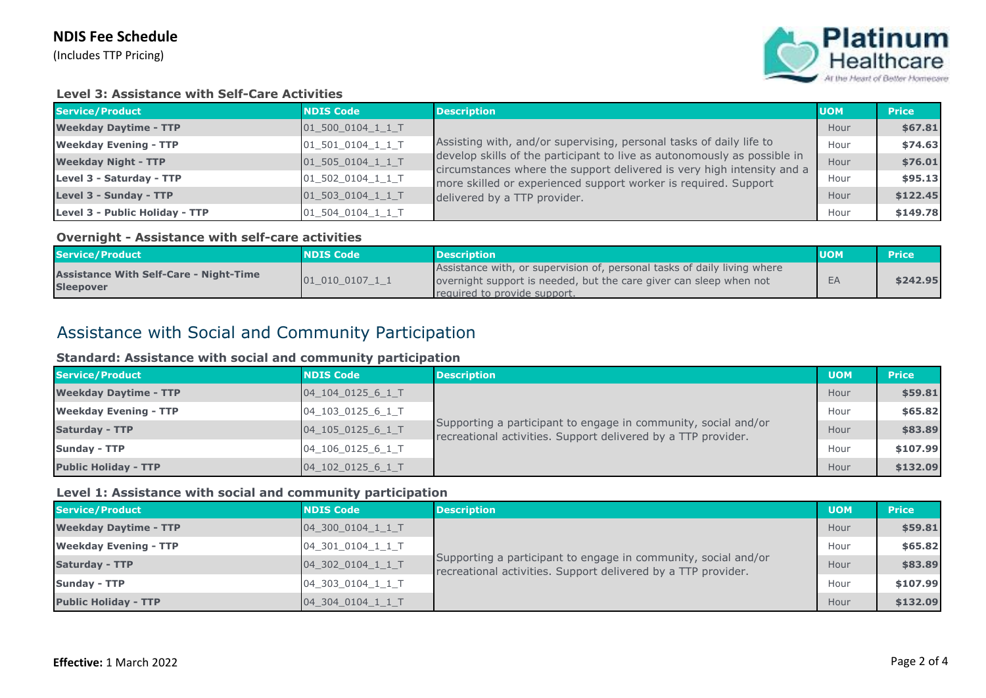### **NDIS Fee Schedule**

(Includes TTP Pricing)



#### **Level 3: Assistance with Self-Care Activities**

| Service/Product                | <b>NDIS Code</b>         | <b>Description</b>                                                                                                                                                                                                                                                                           | <b>UOM</b> | <b>Price</b> |
|--------------------------------|--------------------------|----------------------------------------------------------------------------------------------------------------------------------------------------------------------------------------------------------------------------------------------------------------------------------------------|------------|--------------|
| <b>Weekday Daytime - TTP</b>   | 01 500 0104 1 1 T        |                                                                                                                                                                                                                                                                                              | Hour       | \$67.81      |
| <b>Weekday Evening - TTP</b>   | 01 501 0104 1 1 T        | Assisting with, and/or supervising, personal tasks of daily life to<br>develop skills of the participant to live as autonomously as possible in<br>circumstances where the support delivered is very high intensity and a<br>more skilled or experienced support worker is required. Support | Hour       | \$74.63      |
| <b>Weekday Night - TTP</b>     | $01_505_0104_11_$        |                                                                                                                                                                                                                                                                                              | Hour       | \$76.01      |
| Level 3 - Saturday - TTP       | 01_502_0104_1_1_T        |                                                                                                                                                                                                                                                                                              | Hour       | \$95.13      |
| Level 3 - Sunday - TTP         | $01$ 503 0104 1 1 T      | delivered by a TTP provider.                                                                                                                                                                                                                                                                 | Hour       | \$122.45     |
| Level 3 - Public Holiday - TTP | $01\_504\_0104\_1\_1\_T$ |                                                                                                                                                                                                                                                                                              | Hour       | \$149.78     |

#### **Overnight - Assistance with self-care activities**

| Service/Product                                                   | <b>NDIS Code</b> | <b>Description</b>                                                                                                                                                             | <b>UOM</b> | <b>NPrice</b> |
|-------------------------------------------------------------------|------------------|--------------------------------------------------------------------------------------------------------------------------------------------------------------------------------|------------|---------------|
| <b>Assistance With Self-Care - Night-Time</b><br><b>Sleepover</b> | 01 010 0107 1 1  | Assistance with, or supervision of, personal tasks of daily living where<br>overnight support is needed, but the care giver can sleep when not<br>required to provide support. | EA         | \$242.95      |

## Assistance with Social and Community Participation

#### **Standard: Assistance with social and community participation**

| Service/Product              | <b>NDIS Code</b>  | <b>Description</b>                                                                                                              | <b>UOM</b> | <b>Price</b> |
|------------------------------|-------------------|---------------------------------------------------------------------------------------------------------------------------------|------------|--------------|
| <b>Weekday Daytime - TTP</b> | 04 104 0125 6 1 T |                                                                                                                                 | Hour       | \$59.81      |
| <b>Weekday Evening - TTP</b> | 04_103_0125_6_1_T | Supporting a participant to engage in community, social and/or<br>recreational activities. Support delivered by a TTP provider. | Hour       | \$65.82      |
| <b>Saturday - TTP</b>        | 04_105_0125_6_1_T |                                                                                                                                 | Hour       | \$83.89      |
| <b>Sunday - TTP</b>          | 04 106 0125 6 1 T |                                                                                                                                 | Hour       | \$107.99     |
| <b>Public Holiday - TTP</b>  | 04 102 0125 6 1 T |                                                                                                                                 | Hour       | \$132.09     |

#### **Level 1: Assistance with social and community participation**

| Service/Product              | <b>NDIS Code</b>  | <b>Description</b>                                                                                                              | <b>UOM</b> | <b>Price</b> |
|------------------------------|-------------------|---------------------------------------------------------------------------------------------------------------------------------|------------|--------------|
| <b>Weekday Daytime - TTP</b> | 04 300 0104 1 1 T |                                                                                                                                 | Hour       | \$59.81      |
| <b>Weekday Evening - TTP</b> | 04 301 0104 1 1 T | Supporting a participant to engage in community, social and/or<br>recreational activities. Support delivered by a TTP provider. | Hour       | \$65.82      |
| <b>Saturday - TTP</b>        | 04_302_0104_1_1_T |                                                                                                                                 | Hour       | \$83.89      |
| <b>Sunday - TTP</b>          | 04 303 0104 1 1 T |                                                                                                                                 | Hour       | \$107.99     |
| <b>Public Holiday - TTP</b>  | 04 304 0104 1 1 T |                                                                                                                                 | Hour       | \$132.09     |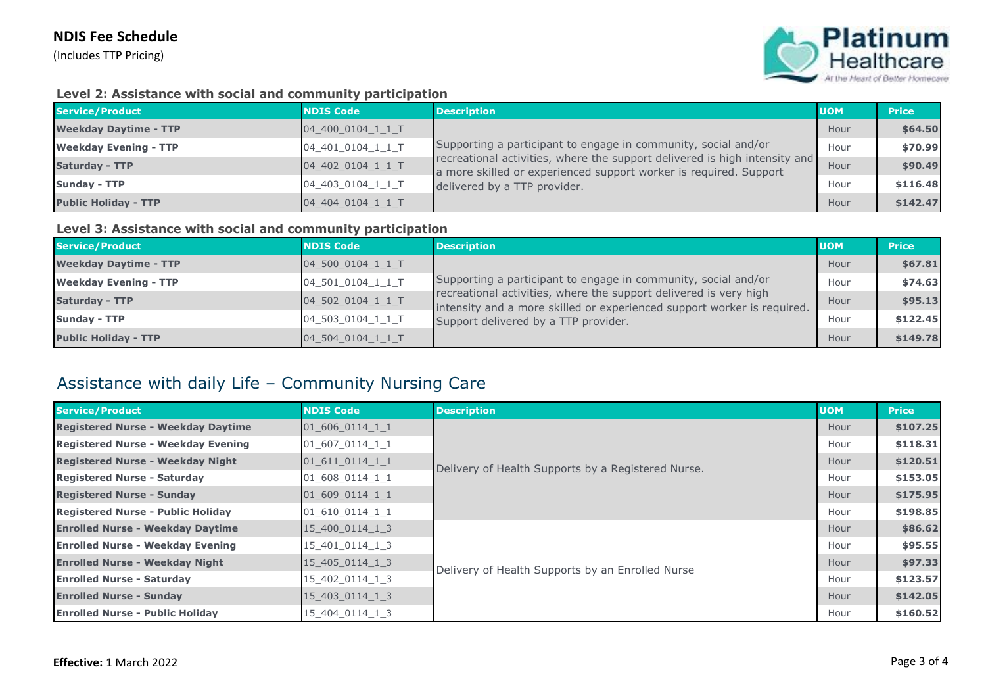### **NDIS Fee Schedule**

(Includes TTP Pricing)



#### **Level 2: Assistance with social and community participation**

| Service/Product              | <b>NDIS Code</b>  | <b>Description</b>                                                                                                                                                                                                                                | <b>UOM</b> | <b>Price</b> |
|------------------------------|-------------------|---------------------------------------------------------------------------------------------------------------------------------------------------------------------------------------------------------------------------------------------------|------------|--------------|
| <b>Weekday Daytime - TTP</b> | 04 400 0104 1 1 T | Supporting a participant to engage in community, social and/or<br>recreational activities, where the support delivered is high intensity and<br>a more skilled or experienced support worker is required. Support<br>delivered by a TTP provider. | Hour       | \$64.50      |
| <b>Weekday Evening - TTP</b> | 04_401_0104_1_1_T |                                                                                                                                                                                                                                                   | Hour       | \$70.99      |
| <b>Saturday - TTP</b>        | 04_402_0104_1_1_T |                                                                                                                                                                                                                                                   | Hour       | \$90.49      |
| <b>Sunday - TTP</b>          | 04_403_0104_1_1_T |                                                                                                                                                                                                                                                   | Hour       | \$116.48     |
| <b>Public Holiday - TTP</b>  | 04 404 0104 1 1 T |                                                                                                                                                                                                                                                   | Hour       | \$142.47     |

#### **Level 3: Assistance with social and community participation**

| Service/Product              | <b>NDIS Code</b>  | <b>Description</b>                                                                                                                           | <b>UOM</b> | <b>Price</b> |
|------------------------------|-------------------|----------------------------------------------------------------------------------------------------------------------------------------------|------------|--------------|
| <b>Weekday Daytime - TTP</b> | 04 500 0104 1 1 T |                                                                                                                                              | Hour       | \$67.81      |
| <b>Weekday Evening - TTP</b> | 04_501_0104_1_1_T | Supporting a participant to engage in community, social and/or                                                                               | Hour       | \$74.63      |
| <b>Saturday - TTP</b>        | 04_502_0104_1_1_T | recreational activities, where the support delivered is very high<br>intensity and a more skilled or experienced support worker is required. | Hour       | \$95.13      |
| <b>Sunday - TTP</b>          | 04_503_0104_1_1_T | Support delivered by a TTP provider.                                                                                                         | Hour       | \$122.45     |
| <b>Public Holiday - TTP</b>  | 04 504 0104 1 1 T |                                                                                                                                              | Hour       | \$149.78     |

## Assistance with daily Life – Community Nursing Care

| Service/Product                           | <b>NDIS Code</b> | <b>Description</b>                                                                                     | <b>UOM</b> | <b>Price</b> |
|-------------------------------------------|------------------|--------------------------------------------------------------------------------------------------------|------------|--------------|
| <b>Registered Nurse - Weekday Daytime</b> | 01 606 0114 1 1  |                                                                                                        | Hour       | \$107.25     |
| Registered Nurse - Weekday Evening        | 01 607 0114 1 1  |                                                                                                        | Hour       | \$118.31     |
| <b>Registered Nurse - Weekday Night</b>   | 01 611 0114 1 1  |                                                                                                        | Hour       | \$120.51     |
| <b>Registered Nurse - Saturday</b>        | 01 608 0114 1 1  |                                                                                                        | Hour       | \$153.05     |
| <b>Registered Nurse - Sunday</b>          | 01 609 0114 1 1  |                                                                                                        | Hour       | \$175.95     |
| <b>Registered Nurse - Public Holiday</b>  | 01 610 0114 1 1  |                                                                                                        | Hour       | \$198.85     |
| <b>Enrolled Nurse - Weekday Daytime</b>   | 15 400 0114 1 3  |                                                                                                        | Hour       | \$86.62      |
| <b>Enrolled Nurse - Weekday Evening</b>   | 15 401 0114 1 3  |                                                                                                        | Hour       | \$95.55      |
| <b>Enrolled Nurse - Weekday Night</b>     | 15 405 0114 1 3  |                                                                                                        | Hour       | \$97.33      |
| <b>Enrolled Nurse - Saturday</b>          | 15 402 0114 1 3  |                                                                                                        | Hour       | \$123.57     |
| <b>Enrolled Nurse - Sunday</b>            | 15 403 0114 1 3  | Delivery of Health Supports by a Registered Nurse.<br>Delivery of Health Supports by an Enrolled Nurse | Hour       | \$142.05     |
| <b>Enrolled Nurse - Public Holiday</b>    | 15 404 0114 1 3  |                                                                                                        | Hour       | \$160.52     |